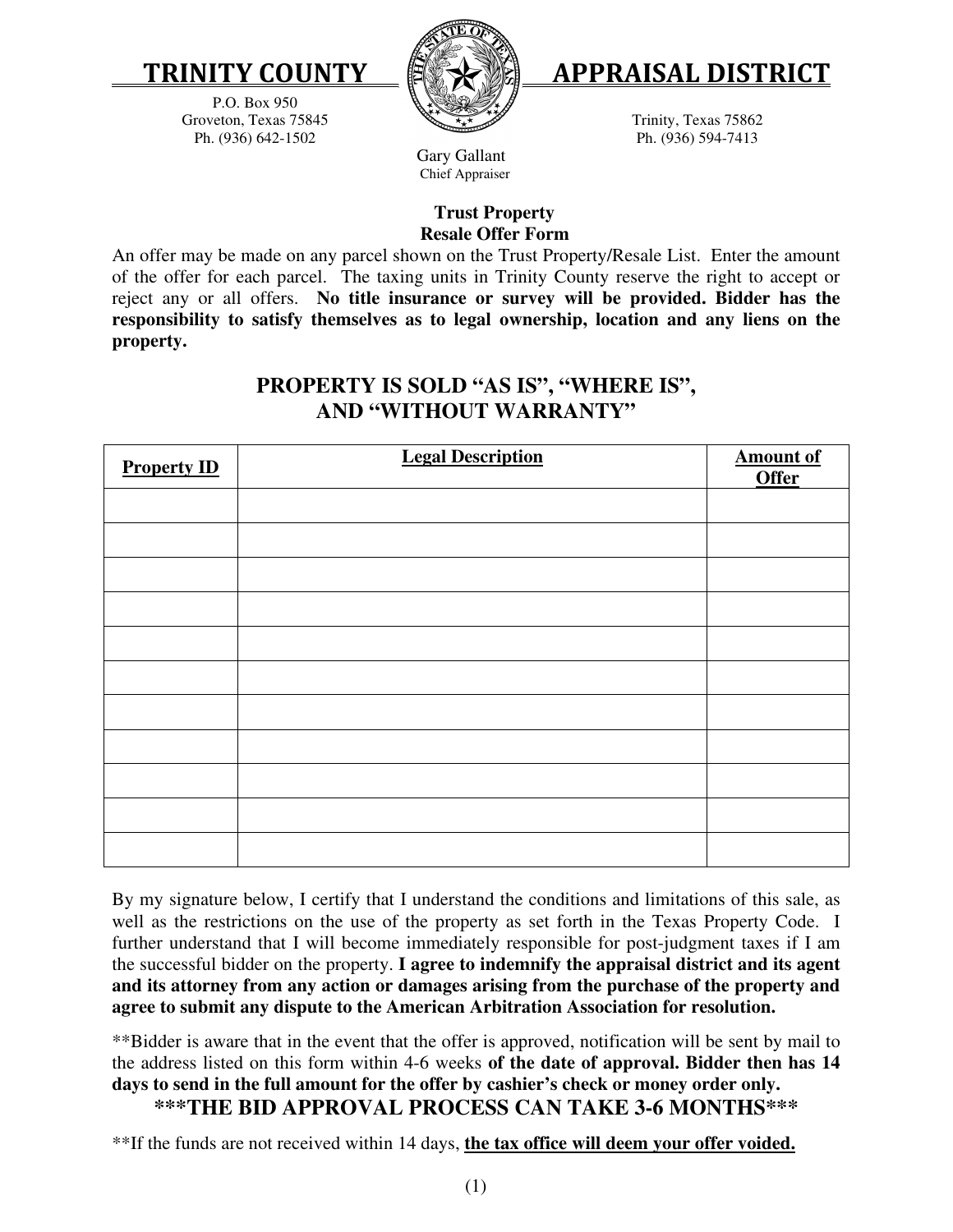

P.O. Box 950 Groveton, Texas 75845 Ph. (936) 642-1502





Trinity, Texas 75862 Ph. (936) 594-7413

 Gary Gallant Chief Appraiser

## **Trust Property Resale Offer Form**

An offer may be made on any parcel shown on the Trust Property/Resale List. Enter the amount of the offer for each parcel. The taxing units in Trinity County reserve the right to accept or reject any or all offers. **No title insurance or survey will be provided. Bidder has the responsibility to satisfy themselves as to legal ownership, location and any liens on the property.**

## **PROPERTY IS SOLD "AS IS", "WHERE IS", AND "WITHOUT WARRANTY"**

| <b>Property ID</b> | <b>Legal Description</b> | <b>Amount of</b><br><b>Offer</b> |
|--------------------|--------------------------|----------------------------------|
|                    |                          |                                  |
|                    |                          |                                  |
|                    |                          |                                  |
|                    |                          |                                  |
|                    |                          |                                  |
|                    |                          |                                  |
|                    |                          |                                  |
|                    |                          |                                  |
|                    |                          |                                  |
|                    |                          |                                  |
|                    |                          |                                  |

By my signature below, I certify that I understand the conditions and limitations of this sale, as well as the restrictions on the use of the property as set forth in the Texas Property Code. I further understand that I will become immediately responsible for post-judgment taxes if I am the successful bidder on the property. **I agree to indemnify the appraisal district and its agent and its attorney from any action or damages arising from the purchase of the property and agree to submit any dispute to the American Arbitration Association for resolution.** 

\*\*Bidder is aware that in the event that the offer is approved, notification will be sent by mail to the address listed on this form within 4-6 weeks **of the date of approval. Bidder then has 14 days to send in the full amount for the offer by cashier's check or money order only. \*\*\*THE BID APPROVAL PROCESS CAN TAKE 3-6 MONTHS\*\*\*** 

\*\*If the funds are not received within 14 days, **the tax office will deem your offer voided.**